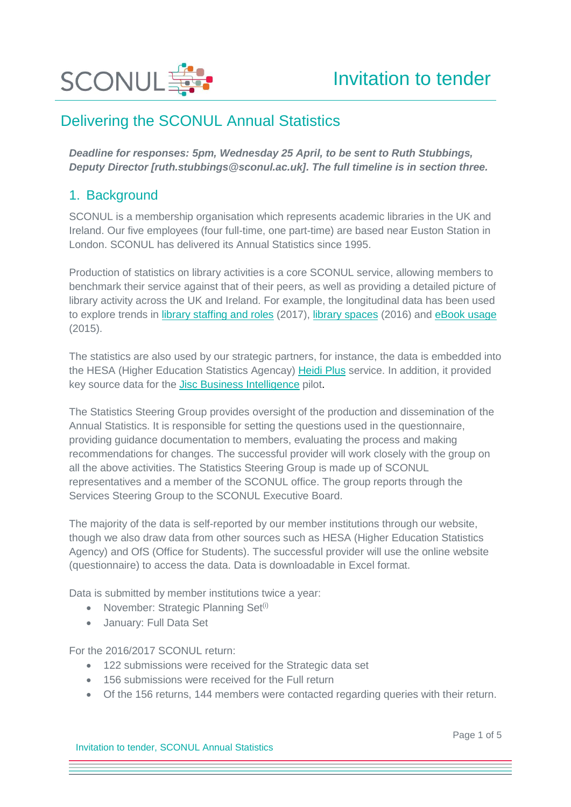

*Deadline for responses: 5pm, Wednesday 25 April, to be sent to Ruth Stubbings, Deputy Director [ruth.stubbings@sconul.ac.uk]. The full timeline is in section three.* 

### 1. Background

SCONUL is a membership organisation which represents academic libraries in the UK and Ireland. Our five employees (four full-time, one part-time) are based near Euston Station in London. SCONUL has delivered its Annual Statistics since 1995.

Production of statistics on library activities is a core SCONUL service, allowing members to benchmark their service against that of their peers, as well as providing a detailed picture of library activity across the UK and Ireland. For example, the longitudinal data has been used to explore trends in [library staffing and roles](https://www.sconul.ac.uk/sites/default/files/documents/2_notes_1516_0.pdf) (2017), [library spaces](http://www.sconul.ac.uk/sites/default/files/documents/Analysis_Evolving_spaces_and_practice_2015.pdf) (2016) and [eBook usage](https://www.sconul.ac.uk/sites/default/files/documents/Analysis%20_Loans%20ebooks%20visits%20June%202015.pdf) (2015).

The statistics are also used by our strategic partners, for instance, the data is embedded into the HESA (Higher Education Statistics Agencay) [Heidi Plus](https://www.hesa.ac.uk/services/heidi-plus) service. In addition, it provided key source data for the [Jisc Business Intelligence](https://www.jisc.ac.uk/rd/projects/business-intelligence-project) pilot.

The Statistics Steering Group provides oversight of the production and dissemination of the Annual Statistics. It is responsible for setting the questions used in the questionnaire, providing guidance documentation to members, evaluating the process and making recommendations for changes. The successful provider will work closely with the group on all the above activities. The Statistics Steering Group is made up of SCONUL representatives and a member of the SCONUL office. The group reports through the Services Steering Group to the SCONUL Executive Board.

The majority of the data is self-reported by our member institutions through our website, though we also draw data from other sources such as HESA (Higher Education Statistics Agency) and OfS (Office for Students). The successful provider will use the online website (questionnaire) to access the data. Data is downloadable in Excel format.

Data is submitted by member institutions twice a year:

- November: Strategic Planning Set $^{(i)}$
- January: Full Data Set

For the 2016/2017 SCONUL return:

- 122 submissions were received for the Strategic data set
- 156 submissions were received for the Full return
- Of the 156 returns, 144 members were contacted regarding queries with their return.

Invitation to tender, SCONUL Annual Statistics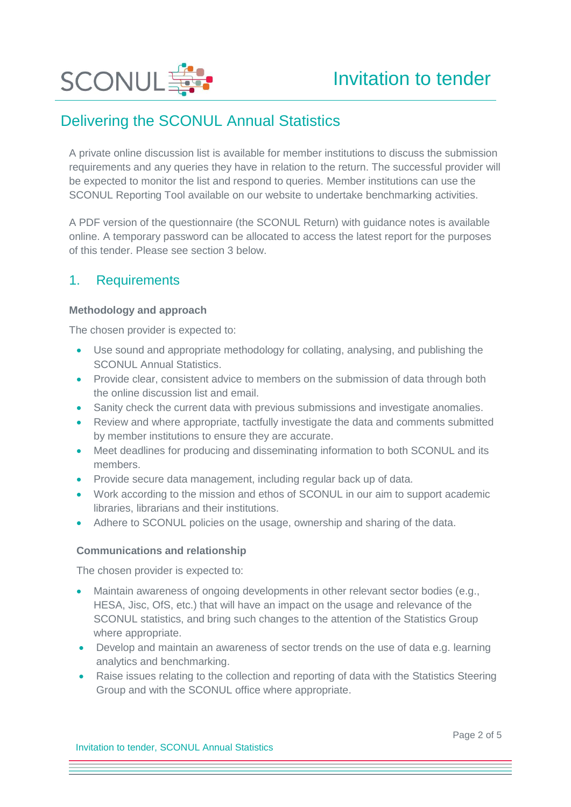

A private online discussion list is available for member institutions to discuss the submission requirements and any queries they have in relation to the return. The successful provider will be expected to monitor the list and respond to queries. Member institutions can use the SCONUL Reporting Tool available on our website to undertake benchmarking activities.

A PDF version of the questionnaire (the SCONUL Return) with guidance notes is available online. A temporary password can be allocated to access the latest report for the purposes of this tender. Please see section 3 below.

### 1. Requirements

#### **Methodology and approach**

The chosen provider is expected to:

- Use sound and appropriate methodology for collating, analysing, and publishing the SCONUL Annual Statistics.
- Provide clear, consistent advice to members on the submission of data through both the online discussion list and email.
- Sanity check the current data with previous submissions and investigate anomalies.
- Review and where appropriate, tactfully investigate the data and comments submitted by member institutions to ensure they are accurate.
- Meet deadlines for producing and disseminating information to both SCONUL and its members.
- Provide secure data management, including regular back up of data.
- Work according to the mission and ethos of SCONUL in our aim to support academic libraries, librarians and their institutions.
- Adhere to SCONUL policies on the usage, ownership and sharing of the data.

#### **Communications and relationship**

The chosen provider is expected to:

- Maintain awareness of ongoing developments in other relevant sector bodies (e.g., HESA, Jisc, OfS, etc.) that will have an impact on the usage and relevance of the SCONUL statistics, and bring such changes to the attention of the Statistics Group where appropriate.
- Develop and maintain an awareness of sector trends on the use of data e.g. learning analytics and benchmarking.
- Raise issues relating to the collection and reporting of data with the Statistics Steering Group and with the SCONUL office where appropriate.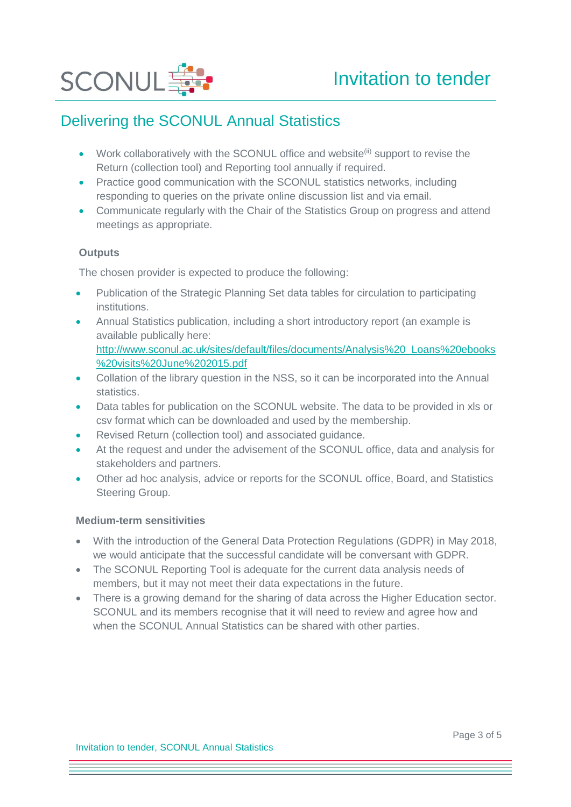

- Work collaboratively with the SCONUL office and website $^{(ii)}$  support to revise the Return (collection tool) and Reporting tool annually if required.
- Practice good communication with the SCONUL statistics networks, including responding to queries on the private online discussion list and via email.
- Communicate regularly with the Chair of the Statistics Group on progress and attend meetings as appropriate.

#### **Outputs**

The chosen provider is expected to produce the following:

- Publication of the Strategic Planning Set data tables for circulation to participating institutions.
- Annual Statistics publication, including a short introductory report (an example is available publically here: [http://www.sconul.ac.uk/sites/default/files/documents/Analysis%20\\_Loans%20ebooks](http://www.sconul.ac.uk/sites/default/files/documents/Analysis%20_Loans%20ebooks%20visits%20June%202015.pdf) [%20visits%20June%202015.pdf](http://www.sconul.ac.uk/sites/default/files/documents/Analysis%20_Loans%20ebooks%20visits%20June%202015.pdf)
- Collation of the library question in the NSS, so it can be incorporated into the Annual statistics.
- Data tables for publication on the SCONUL website. The data to be provided in xls or csv format which can be downloaded and used by the membership.
- Revised Return (collection tool) and associated guidance.
- At the request and under the advisement of the SCONUL office, data and analysis for stakeholders and partners.
- Other ad hoc analysis, advice or reports for the SCONUL office, Board, and Statistics Steering Group.

#### **Medium-term sensitivities**

- With the introduction of the General Data Protection Regulations (GDPR) in May 2018, we would anticipate that the successful candidate will be conversant with GDPR.
- The SCONUL Reporting Tool is adequate for the current data analysis needs of members, but it may not meet their data expectations in the future.
- There is a growing demand for the sharing of data across the Higher Education sector. SCONUL and its members recognise that it will need to review and agree how and when the SCONUL Annual Statistics can be shared with other parties.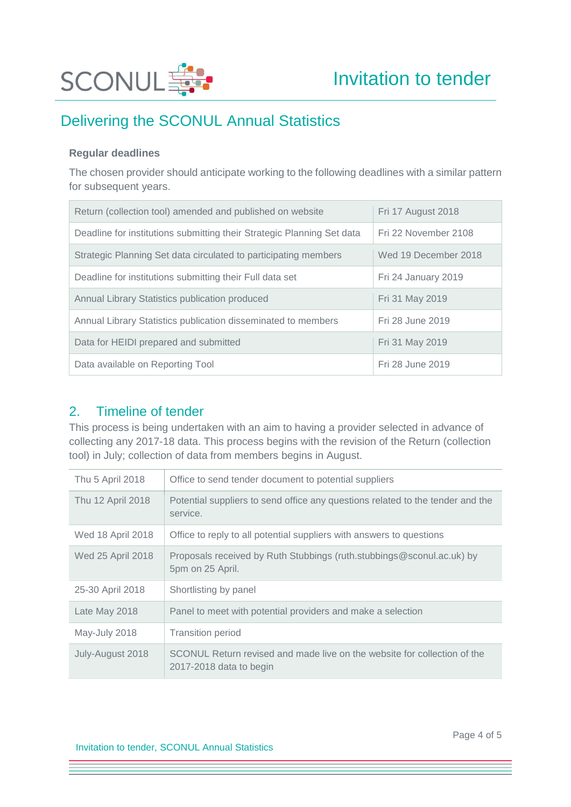

#### **Regular deadlines**

The chosen provider should anticipate working to the following deadlines with a similar pattern for subsequent years.

| Return (collection tool) amended and published on website              | Fri 17 August 2018   |
|------------------------------------------------------------------------|----------------------|
| Deadline for institutions submitting their Strategic Planning Set data | Fri 22 November 2108 |
| Strategic Planning Set data circulated to participating members        | Wed 19 December 2018 |
| Deadline for institutions submitting their Full data set               | Fri 24 January 2019  |
| Annual Library Statistics publication produced                         | Fri 31 May 2019      |
| Annual Library Statistics publication disseminated to members          | Fri 28 June 2019     |
| Data for HEIDI prepared and submitted                                  | Fri 31 May 2019      |
| Data available on Reporting Tool                                       | Fri 28 June 2019     |

### 2. Timeline of tender

This process is being undertaken with an aim to having a provider selected in advance of collecting any 2017-18 data. This process begins with the revision of the Return (collection tool) in July; collection of data from members begins in August.

| Thu 5 April 2018  | Office to send tender document to potential suppliers                                               |  |
|-------------------|-----------------------------------------------------------------------------------------------------|--|
| Thu 12 April 2018 | Potential suppliers to send office any questions related to the tender and the<br>service.          |  |
| Wed 18 April 2018 | Office to reply to all potential suppliers with answers to questions                                |  |
| Wed 25 April 2018 | Proposals received by Ruth Stubbings (ruth.stubbings@sconul.ac.uk) by<br>5pm on 25 April.           |  |
| 25-30 April 2018  | Shortlisting by panel                                                                               |  |
| Late May 2018     | Panel to meet with potential providers and make a selection                                         |  |
| May-July 2018     | <b>Transition period</b>                                                                            |  |
| July-August 2018  | SCONUL Return revised and made live on the website for collection of the<br>2017-2018 data to begin |  |

Invitation to tender, SCONUL Annual Statistics